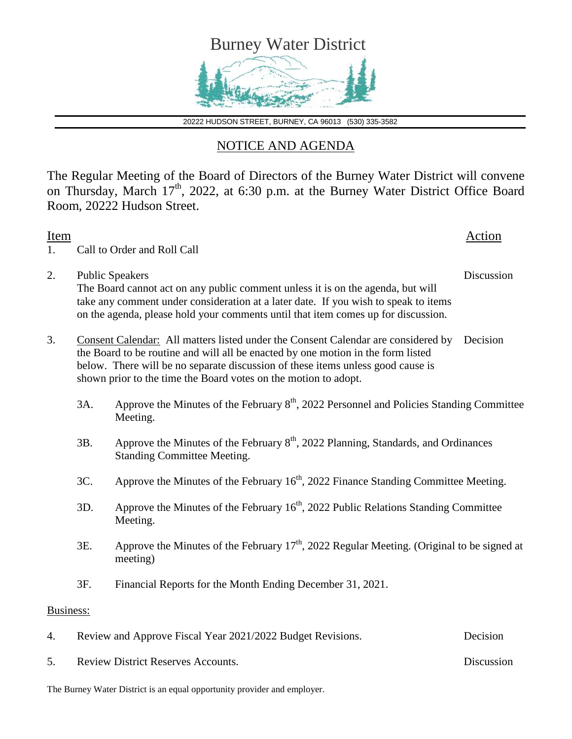

20222 HUDSON STREET, BURNEY, CA 96013 (530) 335-3582

## NOTICE AND AGENDA

The Regular Meeting of the Board of Directors of the Burney Water District will convene on Thursday, March 17<sup>th</sup>, 2022, at 6:30 p.m. at the Burney Water District Office Board Room, 20222 Hudson Street.

| Item<br>1. |                                                                                                                                                                                                                                                                                                                                         | Call to Order and Roll Call                                                                                                                                                                                                                                                           | Action     |
|------------|-----------------------------------------------------------------------------------------------------------------------------------------------------------------------------------------------------------------------------------------------------------------------------------------------------------------------------------------|---------------------------------------------------------------------------------------------------------------------------------------------------------------------------------------------------------------------------------------------------------------------------------------|------------|
| 2.         |                                                                                                                                                                                                                                                                                                                                         | <b>Public Speakers</b><br>The Board cannot act on any public comment unless it is on the agenda, but will<br>take any comment under consideration at a later date. If you wish to speak to items<br>on the agenda, please hold your comments until that item comes up for discussion. | Discussion |
| 3.         | Consent Calendar: All matters listed under the Consent Calendar are considered by<br>Decision<br>the Board to be routine and will all be enacted by one motion in the form listed<br>below. There will be no separate discussion of these items unless good cause is<br>shown prior to the time the Board votes on the motion to adopt. |                                                                                                                                                                                                                                                                                       |            |
|            | 3A.                                                                                                                                                                                                                                                                                                                                     | Approve the Minutes of the February $8th$ , 2022 Personnel and Policies Standing Committee<br>Meeting.                                                                                                                                                                                |            |
|            | 3B.                                                                                                                                                                                                                                                                                                                                     | Approve the Minutes of the February 8 <sup>th</sup> , 2022 Planning, Standards, and Ordinances<br><b>Standing Committee Meeting.</b>                                                                                                                                                  |            |
|            | 3C.                                                                                                                                                                                                                                                                                                                                     | Approve the Minutes of the February 16 <sup>th</sup> , 2022 Finance Standing Committee Meeting.                                                                                                                                                                                       |            |
|            | 3D.                                                                                                                                                                                                                                                                                                                                     | Approve the Minutes of the February $16th$ , 2022 Public Relations Standing Committee<br>Meeting.                                                                                                                                                                                     |            |
|            | 3E.                                                                                                                                                                                                                                                                                                                                     | Approve the Minutes of the February $17th$ , 2022 Regular Meeting. (Original to be signed at<br>meeting)                                                                                                                                                                              |            |
|            | 3F.                                                                                                                                                                                                                                                                                                                                     | Financial Reports for the Month Ending December 31, 2021.                                                                                                                                                                                                                             |            |
| Business:  |                                                                                                                                                                                                                                                                                                                                         |                                                                                                                                                                                                                                                                                       |            |
| 4.         |                                                                                                                                                                                                                                                                                                                                         | Review and Approve Fiscal Year 2021/2022 Budget Revisions.                                                                                                                                                                                                                            | Decision   |
| 5.         |                                                                                                                                                                                                                                                                                                                                         | <b>Review District Reserves Accounts.</b>                                                                                                                                                                                                                                             | Discussion |

The Burney Water District is an equal opportunity provider and employer.